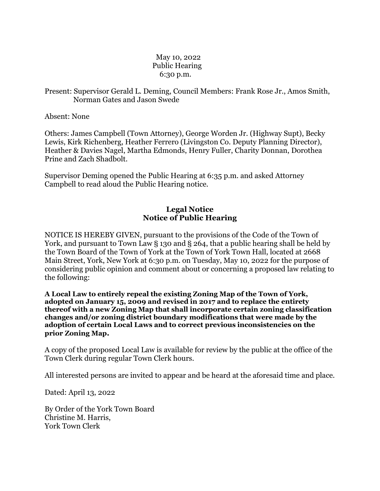## May 10, 2022 Public Hearing 6:30 p.m.

## Present: Supervisor Gerald L. Deming, Council Members: Frank Rose Jr., Amos Smith, Norman Gates and Jason Swede

Absent: None

Others: James Campbell (Town Attorney), George Worden Jr. (Highway Supt), Becky Lewis, Kirk Richenberg, Heather Ferrero (Livingston Co. Deputy Planning Director), Heather & Davies Nagel, Martha Edmonds, Henry Fuller, Charity Donnan, Dorothea Prine and Zach Shadbolt.

Supervisor Deming opened the Public Hearing at 6:35 p.m. and asked Attorney Campbell to read aloud the Public Hearing notice.

## **Legal Notice Notice of Public Hearing**

NOTICE IS HEREBY GIVEN, pursuant to the provisions of the Code of the Town of York, and pursuant to Town Law § 130 and § 264, that a public hearing shall be held by the Town Board of the Town of York at the Town of York Town Hall, located at 2668 Main Street, York, New York at 6:30 p.m. on Tuesday, May 10, 2022 for the purpose of considering public opinion and comment about or concerning a proposed law relating to the following:

**A Local Law to entirely repeal the existing Zoning Map of the Town of York, adopted on January 15, 2009 and revised in 2017 and to replace the entirety thereof with a new Zoning Map that shall incorporate certain zoning classification changes and/or zoning district boundary modifications that were made by the adoption of certain Local Laws and to correct previous inconsistencies on the prior Zoning Map.**

A copy of the proposed Local Law is available for review by the public at the office of the Town Clerk during regular Town Clerk hours.

All interested persons are invited to appear and be heard at the aforesaid time and place.

Dated: April 13, 2022

By Order of the York Town Board Christine M. Harris, York Town Clerk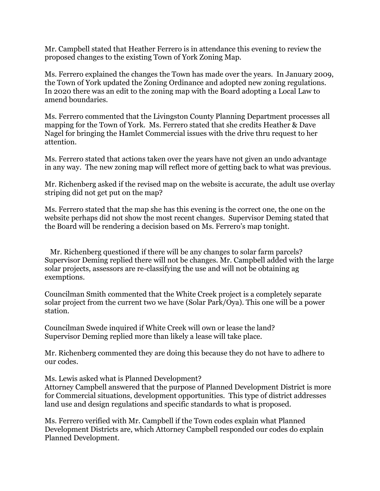Mr. Campbell stated that Heather Ferrero is in attendance this evening to review the proposed changes to the existing Town of York Zoning Map.

Ms. Ferrero explained the changes the Town has made over the years. In January 2009, the Town of York updated the Zoning Ordinance and adopted new zoning regulations. In 2020 there was an edit to the zoning map with the Board adopting a Local Law to amend boundaries.

Ms. Ferrero commented that the Livingston County Planning Department processes all mapping for the Town of York. Ms. Ferrero stated that she credits Heather & Dave Nagel for bringing the Hamlet Commercial issues with the drive thru request to her attention.

Ms. Ferrero stated that actions taken over the years have not given an undo advantage in any way. The new zoning map will reflect more of getting back to what was previous.

Mr. Richenberg asked if the revised map on the website is accurate, the adult use overlay striping did not get put on the map?

Ms. Ferrero stated that the map she has this evening is the correct one, the one on the website perhaps did not show the most recent changes. Supervisor Deming stated that the Board will be rendering a decision based on Ms. Ferrero's map tonight.

 Mr. Richenberg questioned if there will be any changes to solar farm parcels? Supervisor Deming replied there will not be changes. Mr. Campbell added with the large solar projects, assessors are re-classifying the use and will not be obtaining ag exemptions.

Councilman Smith commented that the White Creek project is a completely separate solar project from the current two we have (Solar Park/Oya). This one will be a power station.

Councilman Swede inquired if White Creek will own or lease the land? Supervisor Deming replied more than likely a lease will take place.

Mr. Richenberg commented they are doing this because they do not have to adhere to our codes.

Ms. Lewis asked what is Planned Development?

Attorney Campbell answered that the purpose of Planned Development District is more for Commercial situations, development opportunities. This type of district addresses land use and design regulations and specific standards to what is proposed.

Ms. Ferrero verified with Mr. Campbell if the Town codes explain what Planned Development Districts are, which Attorney Campbell responded our codes do explain Planned Development.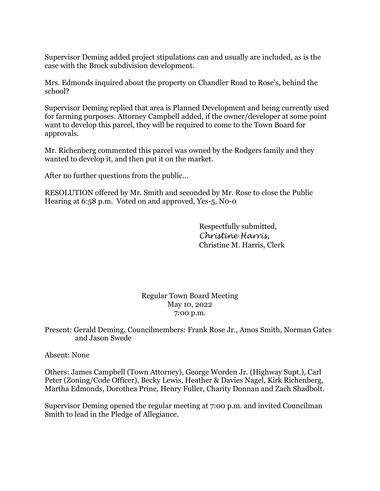Supervisor Deming added project stipulations can and usually are included, as is the case with the Brock subdivision development.

Mrs. Edmonds inquired about the property on Chandler Road to Rose's, behind the school?

Supervisor Deming replied that area is Planned Development and being currently used for farming purposes. Attorney Campbell added, if the owner/developer at some point want to develop this parcel, they will be required to come to the Town Board for approvals.

Mr. Richenberg commented this parcel was owned by the Rodgers family and they wanted to develop it, and then put it on the market.

After no further questions from the public…

RESOLUTION offered by Mr. Smith and seconded by Mr. Rose to close the Public Hearing at 6:58 p.m. Voted on and approved, Yes-5, N0-0

> Respectfully submitted, *Christine Harris,* Christine M. Harris, Clerk

Regular Town Board Meeting May 10, 2022 7:00 p.m.

Present: Gerald Deming, Councilmembers: Frank Rose Jr., Amos Smith, Norman Gates and Jason Swede

Absent: None

Others: James Campbell (Town Attorney), George Worden Jr. (Highway Supt.), Carl Peter (Zoning/Code Officer), Becky Lewis, Heather & Davies Nagel, Kirk Richenberg, Martha Edmonds, Dorothea Prine, Henry Fuller, Charity Donnan and Zach Shadbolt.

Supervisor Deming opened the regular meeting at 7:00 p.m. and invited Councilman Smith to lead in the Pledge of Allegiance.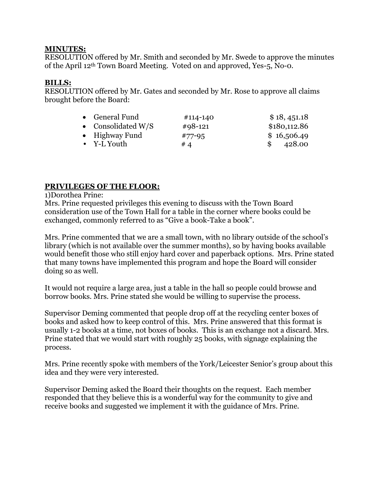## **MINUTES:**

RESOLUTION offered by Mr. Smith and seconded by Mr. Swede to approve the minutes of the April 12th Town Board Meeting. Voted on and approved, Yes-5, No-0.

## **BILLS:**

RESOLUTION offered by Mr. Gates and seconded by Mr. Rose to approve all claims brought before the Board:

| • General Fund       | #114-140   | \$18,451.18  |
|----------------------|------------|--------------|
| • Consolidated $W/S$ | $#98-121$  | \$180,112.86 |
| • Highway Fund       | $#77 - 95$ | \$16,506.49  |
| $\bullet$ Y-L Youth  | # 4        | 428.00       |

# **PRIVILEGES OF THE FLOOR:**

1)Dorothea Prine:

Mrs. Prine requested privileges this evening to discuss with the Town Board consideration use of the Town Hall for a table in the corner where books could be exchanged, commonly referred to as "Give a book-Take a book".

Mrs. Prine commented that we are a small town, with no library outside of the school's library (which is not available over the summer months), so by having books available would benefit those who still enjoy hard cover and paperback options. Mrs. Prine stated that many towns have implemented this program and hope the Board will consider doing so as well.

It would not require a large area, just a table in the hall so people could browse and borrow books. Mrs. Prine stated she would be willing to supervise the process.

Supervisor Deming commented that people drop off at the recycling center boxes of books and asked how to keep control of this. Mrs. Prine answered that this format is usually 1-2 books at a time, not boxes of books. This is an exchange not a discard. Mrs. Prine stated that we would start with roughly 25 books, with signage explaining the process.

Mrs. Prine recently spoke with members of the York/Leicester Senior's group about this idea and they were very interested.

Supervisor Deming asked the Board their thoughts on the request. Each member responded that they believe this is a wonderful way for the community to give and receive books and suggested we implement it with the guidance of Mrs. Prine.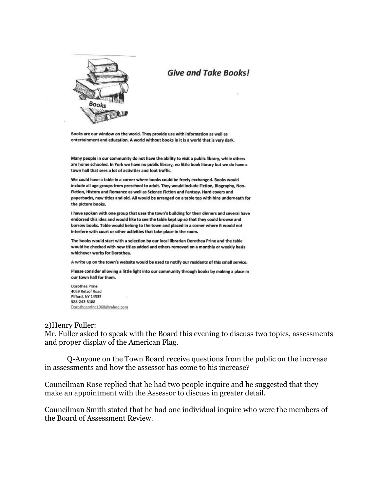

# **Give and Take Books!**

Books are our window on the world. They provide use with information as well as entertainment and education. A world without books in it is a world that is very dark.

Many people in our community do not have the ability to visit a public library, while others are home schooled. In York we have no public library, no little book library but we do have a town hall that sees a lot of activities and foot traffic.

We could have a table in a corner where books could be freely exchanged. Books would include all age groups from preschool to adult. They would include Fiction, Biography, Non-Fiction, History and Romance as well as Science Fiction and Fantasy. Hard covers and paperbacks, new titles and old. All would be arranged on a table top with bins underneath for the picture books.

I have spoken with one group that uses the town's building for their dinners and several have endorsed this idea and would like to see the table kept up so that they could browse and borrow books. Table would belong to the town and placed in a corner where it would not interfere with court or other activities that take place in the room.

The books would start with a selection by our local librarian Dorothea Prine and the table would be checked with new titles added and others removed on a monthly or weekly basis whichever works for Dorothea.

A write up on the town's website would be used to notify our residents of this small service.

Please consider allowing a little light into our community through books by making a place in our town hall for them.

Dorothea Prine 4059 Retsof Road Piffard, NY 14533 585-243-5188 Dorotheaprine1968@yahoo.com

### 2)Henry Fuller:

Mr. Fuller asked to speak with the Board this evening to discuss two topics, assessments and proper display of the American Flag.

Q-Anyone on the Town Board receive questions from the public on the increase in assessments and how the assessor has come to his increase?

Councilman Rose replied that he had two people inquire and he suggested that they make an appointment with the Assessor to discuss in greater detail.

Councilman Smith stated that he had one individual inquire who were the members of the Board of Assessment Review.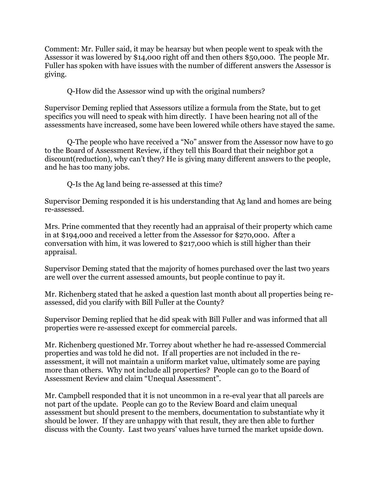Comment: Mr. Fuller said, it may be hearsay but when people went to speak with the Assessor it was lowered by \$14,000 right off and then others \$50,000. The people Mr. Fuller has spoken with have issues with the number of different answers the Assessor is giving.

Q-How did the Assessor wind up with the original numbers?

Supervisor Deming replied that Assessors utilize a formula from the State, but to get specifics you will need to speak with him directly. I have been hearing not all of the assessments have increased, some have been lowered while others have stayed the same.

Q-The people who have received a "No" answer from the Assessor now have to go to the Board of Assessment Review, if they tell this Board that their neighbor got a discount(reduction), why can't they? He is giving many different answers to the people, and he has too many jobs.

Q-Is the Ag land being re-assessed at this time?

Supervisor Deming responded it is his understanding that Ag land and homes are being re-assessed.

Mrs. Prine commented that they recently had an appraisal of their property which came in at \$194,000 and received a letter from the Assessor for \$270,000. After a conversation with him, it was lowered to \$217,000 which is still higher than their appraisal.

Supervisor Deming stated that the majority of homes purchased over the last two years are well over the current assessed amounts, but people continue to pay it.

Mr. Richenberg stated that he asked a question last month about all properties being reassessed, did you clarify with Bill Fuller at the County?

Supervisor Deming replied that he did speak with Bill Fuller and was informed that all properties were re-assessed except for commercial parcels.

Mr. Richenberg questioned Mr. Torrey about whether he had re-assessed Commercial properties and was told he did not. If all properties are not included in the reassessment, it will not maintain a uniform market value, ultimately some are paying more than others. Why not include all properties? People can go to the Board of Assessment Review and claim "Unequal Assessment".

Mr. Campbell responded that it is not uncommon in a re-eval year that all parcels are not part of the update. People can go to the Review Board and claim unequal assessment but should present to the members, documentation to substantiate why it should be lower. If they are unhappy with that result, they are then able to further discuss with the County. Last two years' values have turned the market upside down.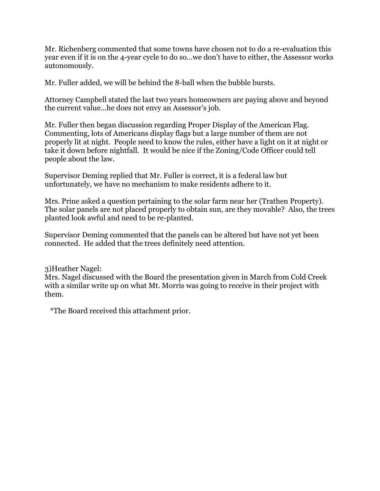Mr. Richenberg commented that some towns have chosen not to do a re-evaluation this year even if it is on the 4-year cycle to do so…we don't have to either, the Assessor works autonomously.

Mr. Fuller added, we will be behind the 8-ball when the bubble bursts.

Attorney Campbell stated the last two years homeowners are paying above and beyond the current value…he does not envy an Assessor's job.

Mr. Fuller then began discussion regarding Proper Display of the American Flag. Commenting, lots of Americans display flags but a large number of them are not properly lit at night. People need to know the rules, either have a light on it at night or take it down before nightfall. It would be nice if the Zoning/Code Officer could tell people about the law.

Supervisor Deming replied that Mr. Fuller is correct, it is a federal law but unfortunately, we have no mechanism to make residents adhere to it.

Mrs. Prine asked a question pertaining to the solar farm near her (Trathen Property). The solar panels are not placed properly to obtain sun, are they movable? Also, the trees planted look awful and need to be re-planted.

Supervisor Deming commented that the panels can be altered but have not yet been connected. He added that the trees definitely need attention.

3)Heather Nagel:

Mrs. Nagel discussed with the Board the presentation given in March from Cold Creek with a similar write up on what Mt. Morris was going to receive in their project with them.

\*The Board received this attachment prior.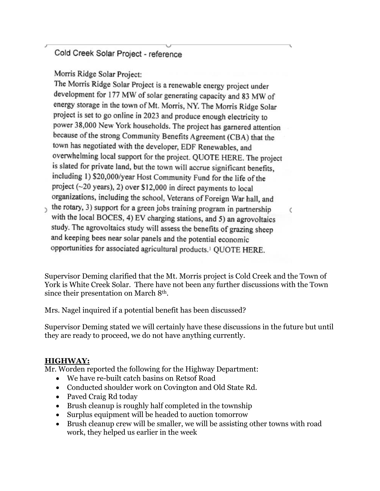Cold Creek Solar Project - reference

Morris Ridge Solar Project:

The Morris Ridge Solar Project is a renewable energy project under development for 177 MW of solar generating capacity and 83 MW of energy storage in the town of Mt. Morris, NY. The Morris Ridge Solar project is set to go online in 2023 and produce enough electricity to power 38,000 New York households. The project has garnered attention because of the strong Community Benefits Agreement (CBA) that the town has negotiated with the developer, EDF Renewables, and overwhelming local support for the project. QUOTE HERE. The project is slated for private land, but the town will accrue significant benefits, including 1) \$20,000/year Host Community Fund for the life of the project (~20 years), 2) over \$12,000 in direct payments to local organizations, including the school, Veterans of Foreign War hall, and

the rotary, 3) support for a green jobs training program in partnership with the local BOCES, 4) EV charging stations, and 5) an agrovoltaics study. The agrovoltaics study will assess the benefits of grazing sheep and keeping bees near solar panels and the potential economic opportunities for associated agricultural products.<sup>1</sup> QUOTE HERE.

Supervisor Deming clarified that the Mt. Morris project is Cold Creek and the Town of York is White Creek Solar. There have not been any further discussions with the Town since their presentation on March 8th.

C

Mrs. Nagel inquired if a potential benefit has been discussed?

Supervisor Deming stated we will certainly have these discussions in the future but until they are ready to proceed, we do not have anything currently.

# **HIGHWAY:**

Mr. Worden reported the following for the Highway Department:

- We have re-built catch basins on Retsof Road
- Conducted shoulder work on Covington and Old State Rd.
- Paved Craig Rd today
- Brush cleanup is roughly half completed in the township
- Surplus equipment will be headed to auction tomorrow
- Brush cleanup crew will be smaller, we will be assisting other towns with road work, they helped us earlier in the week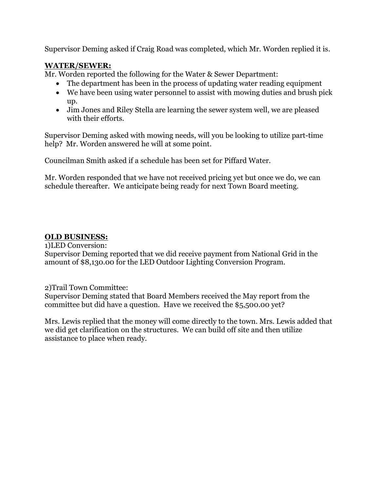Supervisor Deming asked if Craig Road was completed, which Mr. Worden replied it is.

# **WATER/SEWER:**

Mr. Worden reported the following for the Water & Sewer Department:

- The department has been in the process of updating water reading equipment
- We have been using water personnel to assist with mowing duties and brush pick up.
- Jim Jones and Riley Stella are learning the sewer system well, we are pleased with their efforts.

Supervisor Deming asked with mowing needs, will you be looking to utilize part-time help? Mr. Worden answered he will at some point.

Councilman Smith asked if a schedule has been set for Piffard Water.

Mr. Worden responded that we have not received pricing yet but once we do, we can schedule thereafter. We anticipate being ready for next Town Board meeting.

# **OLD BUSINESS:**

1)LED Conversion:

Supervisor Deming reported that we did receive payment from National Grid in the amount of \$8,130.00 for the LED Outdoor Lighting Conversion Program.

2)Trail Town Committee: Supervisor Deming stated that Board Members received the May report from the committee but did have a question. Have we received the \$5,500.00 yet?

Mrs. Lewis replied that the money will come directly to the town. Mrs. Lewis added that we did get clarification on the structures. We can build off site and then utilize assistance to place when ready.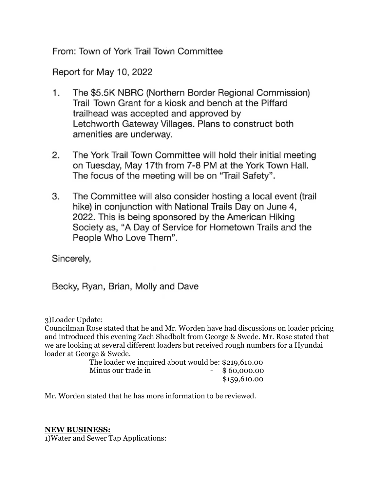From: Town of York Trail Town Committee

Report for May 10, 2022

- 1. The \$5.5K NBRC (Northern Border Regional Commission) Trail Town Grant for a kiosk and bench at the Piffard trailhead was accepted and approved by Letchworth Gateway Villages. Plans to construct both amenities are underway.
- $2.$ The York Trail Town Committee will hold their initial meeting on Tuesday, May 17th from 7-8 PM at the York Town Hall. The focus of the meeting will be on "Trail Safety".
- 3. The Committee will also consider hosting a local event (trail hike) in conjunction with National Trails Day on June 4, 2022. This is being sponsored by the American Hiking Society as, "A Day of Service for Hometown Trails and the People Who Love Them".

Sincerely,

Becky, Ryan, Brian, Molly and Dave

3)Loader Update:

Councilman Rose stated that he and Mr. Worden have had discussions on loader pricing and introduced this evening Zach Shadbolt from George & Swede. Mr. Rose stated that we are looking at several different loaders but received rough numbers for a Hyundai loader at George & Swede.

 The loader we inquired about would be: \$219,610.00 Minus our trade in  $\frac{1}{2}$  \$60,000.00 \$159,610.00

Mr. Worden stated that he has more information to be reviewed.

## **NEW BUSINESS:**

1)Water and Sewer Tap Applications: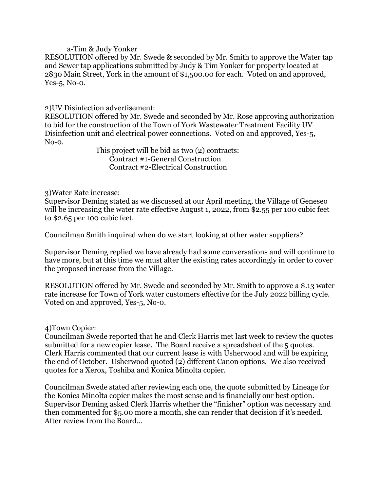## a-Tim & Judy Yonker

RESOLUTION offered by Mr. Swede & seconded by Mr. Smith to approve the Water tap and Sewer tap applications submitted by Judy & Tim Yonker for property located at 2830 Main Street, York in the amount of \$1,500.00 for each. Voted on and approved, Yes-5, No-0.

## 2)UV Disinfection advertisement:

RESOLUTION offered by Mr. Swede and seconded by Mr. Rose approving authorization to bid for the construction of the Town of York Wastewater Treatment Facility UV Disinfection unit and electrical power connections. Voted on and approved, Yes-5, No-0.

 This project will be bid as two (2) contracts: Contract #1-General Construction Contract #2-Electrical Construction

## 3)Water Rate increase:

Supervisor Deming stated as we discussed at our April meeting, the Village of Geneseo will be increasing the water rate effective August 1, 2022, from \$2.55 per 100 cubic feet to \$2.65 per 100 cubic feet.

Councilman Smith inquired when do we start looking at other water suppliers?

Supervisor Deming replied we have already had some conversations and will continue to have more, but at this time we must alter the existing rates accordingly in order to cover the proposed increase from the Village.

RESOLUTION offered by Mr. Swede and seconded by Mr. Smith to approve a \$.13 water rate increase for Town of York water customers effective for the July 2022 billing cycle. Voted on and approved, Yes-5, No-0.

## 4)Town Copier:

Councilman Swede reported that he and Clerk Harris met last week to review the quotes submitted for a new copier lease. The Board receive a spreadsheet of the 5 quotes. Clerk Harris commented that our current lease is with Usherwood and will be expiring the end of October. Usherwood quoted (2) different Canon options. We also received quotes for a Xerox, Toshiba and Konica Minolta copier.

Councilman Swede stated after reviewing each one, the quote submitted by Lineage for the Konica Minolta copier makes the most sense and is financially our best option. Supervisor Deming asked Clerk Harris whether the "finisher" option was necessary and then commented for \$5.00 more a month, she can render that decision if it's needed. After review from the Board…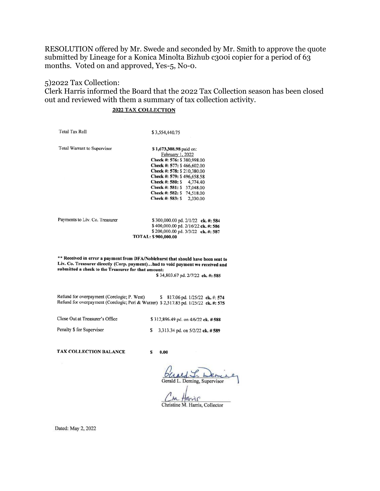RESOLUTION offered by Mr. Swede and seconded by Mr. Smith to approve the quote submitted by Lineage for a Konica Minolta Bizhub c300i copier for a period of 63 months. Voted on and approved, Yes-5, No-0.

## 5)2022 Tax Collection:

Clerk Harris informed the Board that the 2022 Tax Collection season has been closed out and reviewed with them a summary of tax collection activity.

### **2022 TAX COLLECTION**

**Total Tax Roll** 

\$3,554,440.75

Total Warrant to Supervisor

\$1,673,308.98 paid on: February 1, 2022 Check #: 576: \$380,998.00 Check #: 577: \$466,602.00 Check #: 578: \$210,380.00 Check #: 579: \$496,658.58 Check #: 580: \$4,774.40 Check #: 581: \$ 37,048.00 Check #: 582: \$74,518.00 Check #: 583: \$2,330.00

Payments to Liv. Co. Treasurer

\$300,000.00 pd. 2/1/22 ck. #: 584 \$400,000.00 pd. 2/16/22 ck. #: 586 \$200,000.00 pd. 3/3/22 ck. #: 587 TOTAL: \$900,000.00

\*\* Received in error a payment from DFA/Noblehurst that should have been sent to Liv. Co. Treasurer directly (Corp. payment)...had to void payment we received and submitted a check to the Treasurer for that amount:

\$34,803.67 pd. 2/7/22 ck. #: 585

Refund for overpayment (Corelogic; P. West) \$817.06 pd. 1/25/22 ck. #: 574 Refund for overpayment (Corelogic; Peri & Wurzer) \$2,517.85 pd. 1/25/22 ck. #: 575

Close Out at Treasurer's Office

\$312,896.49 pd. on 4/6/22 ck. #588

Penalty \$ for Supervisor

\$3,313.34 pd. on 5/2/22 ck. #589

TAX COLLECTION BALANCE

 $\mathbf{s}$  $0.00$ 

Jeme Gerald L. Deming, Supervisor

arrir Christine M. Harris, Collector

Dated: May 2, 2022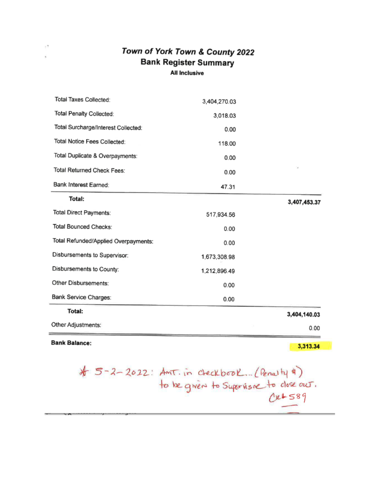# Town of York Town & County 2022 **Bank Register Summary All Inclusive**

| Total Taxes Collected:               | 3,404,270.03 |              |
|--------------------------------------|--------------|--------------|
| Total Penalty Collected:             | 3,018.03     |              |
| Total Surcharge/Interest Collected:  | 0.00         |              |
| Total Notice Fees Collected:         | 118.00       |              |
| Total Duplicate & Overpayments:      | 0.00         |              |
| Total Returned Check Fees:           | 0.00         |              |
| Bank Interest Earned:                | 47.31        |              |
| Total:                               |              | 3,407,453.37 |
| Total Direct Payments:               | 517,934.56   |              |
| <b>Total Bounced Checks:</b>         | 0.00         |              |
| Total Refunded/Applied Overpayments: | 0.00         |              |
| Disbursements to Supervisor:         | 1,673,308.98 |              |
| Disbursements to County:             | 1,212,896.49 |              |
| Other Disbursements:                 | 0.00         |              |
| Bank Service Charges:                | 0.00         |              |
| Total:                               |              | 3,404,140.03 |
| Other Adjustments:                   |              | 0.00         |

**Bank Balance:** 

 $\pm 2$ 

ú.

3,313.34

# 5-2-2022: Anit. in checkbook... (Penalty #)<br>to be given to Supervisor to close out.<br>Cre 589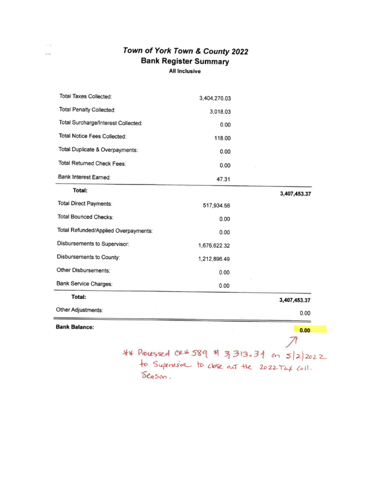# Town of York Town & County 2022 **Bank Register Summary** All Inclusive

 $\sim$   $\tau$ 

 $\sim$ 

| Total Taxes Collected:               | 3,404,270.03 |              |
|--------------------------------------|--------------|--------------|
| Total Penalty Collected:             | 3,018.03     |              |
| Total Surcharge/Interest Collected:  | 0.00         |              |
| Total Notice Fees Collected:         | 118.00       |              |
| Total Duplicate & Overpayments:      | 0.00         |              |
| Total Returned Check Fees:           | 0.00         |              |
| Bank Interest Earned:                | 47.31        |              |
| Total:                               |              | 3,407,453.37 |
| Total Direct Payments:               | 517,934.56   |              |
| Total Bounced Checks:                | 0.00         |              |
| Total Refunded/Applied Overpayments: | 0.00         |              |
| Disbursements to Supervisor:         | 1,676,622.32 |              |
| Disbursements to County:             | 1,212,896.49 |              |
| Other Disbursements:                 | 0.00         |              |
| Bank Service Charges:                | 0.00         |              |
| Total:                               |              | 3,407,453.37 |
| Other Adjustments:                   |              | 0.00         |
| <b>Bank Balance:</b>                 |              | 0.00         |
|                                      |              |              |
| ** Processed CX# 589                 | 剚<br>3313.34 |              |

Processed CR# 589 \$ 3,313.34 on  $5|2|2022$ <br>fo Supervisor to close out the 2022 Tax coll. Season.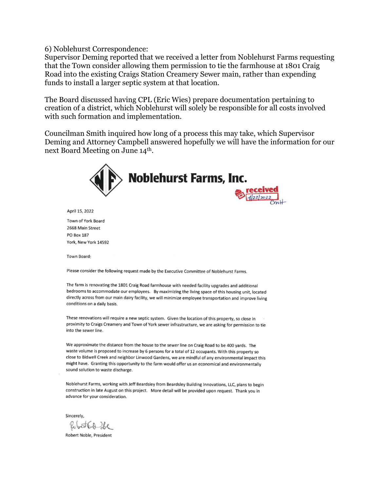6) Noblehurst Correspondence:

Supervisor Deming reported that we received a letter from Noblehurst Farms requesting that the Town consider allowing them permission to tie the farmhouse at 1801 Craig Road into the existing Craigs Station Creamery Sewer main, rather than expending funds to install a larger septic system at that location.

The Board discussed having CPL (Eric Wies) prepare documentation pertaining to creation of a district, which Noblehurst will solely be responsible for all costs involved with such formation and implementation.

Councilman Smith inquired how long of a process this may take, which Supervisor Deming and Attorney Campbell answered hopefully we will have the information for our next Board Meeting on June 14th.



April 15, 2022

Town of York Board 2668 Main Street PO Box 187 York, New York 14592

Town Board:

Please consider the following request made by the Executive Committee of Noblehurst Farms.

The farm is renovating the 1801 Craig Road farmhouse with needed facility upgrades and additional bedrooms to accommodate our employees. By maximizing the living space of this housing unit, located directly across from our main dairy facility, we will minimize employee transportation and improve living conditions on a daily basis.

These renovations will require a new septic system. Given the location of this property, so close in proximity to Craigs Creamery and Town of York sewer infrastructure, we are asking for permission to tie into the sewer line.

We approximate the distance from the house to the sewer line on Craig Road to be 400 yards. The waste volume is proposed to increase by 6 persons for a total of 12 occupants. With this property so close to Bidwell Creek and neighbor Linwood Gardens, we are mindful of any environmental impact this might have. Granting this opportunity to the farm would offer us an economical and environmentally sound solution to waste discharge.

Noblehurst Farms, working with Jeff Beardsley from Beardsley Building Innovations, LLC, plans to begin construction in late August on this project. More detail will be provided upon request. Thank you in advance for your consideration.

Sincerely,

Rubert 60 be

Robert Noble, President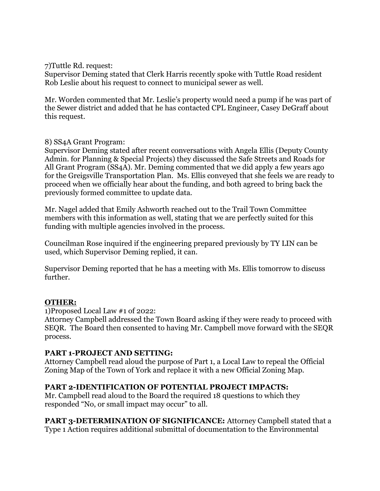7)Tuttle Rd. request:

Supervisor Deming stated that Clerk Harris recently spoke with Tuttle Road resident Rob Leslie about his request to connect to municipal sewer as well.

Mr. Worden commented that Mr. Leslie's property would need a pump if he was part of the Sewer district and added that he has contacted CPL Engineer, Casey DeGraff about this request.

## 8) SS4A Grant Program:

Supervisor Deming stated after recent conversations with Angela Ellis (Deputy County Admin. for Planning & Special Projects) they discussed the Safe Streets and Roads for All Grant Program (SS4A). Mr. Deming commented that we did apply a few years ago for the Greigsville Transportation Plan. Ms. Ellis conveyed that she feels we are ready to proceed when we officially hear about the funding, and both agreed to bring back the previously formed committee to update data.

Mr. Nagel added that Emily Ashworth reached out to the Trail Town Committee members with this information as well, stating that we are perfectly suited for this funding with multiple agencies involved in the process.

Councilman Rose inquired if the engineering prepared previously by TY LIN can be used, which Supervisor Deming replied, it can.

Supervisor Deming reported that he has a meeting with Ms. Ellis tomorrow to discuss further.

## **OTHER:**

1)Proposed Local Law #1 of 2022:

Attorney Campbell addressed the Town Board asking if they were ready to proceed with SEQR. The Board then consented to having Mr. Campbell move forward with the SEQR process.

## **PART 1-PROJECT AND SETTING:**

Attorney Campbell read aloud the purpose of Part 1, a Local Law to repeal the Official Zoning Map of the Town of York and replace it with a new Official Zoning Map.

## **PART 2-IDENTIFICATION OF POTENTIAL PROJECT IMPACTS:**

Mr. Campbell read aloud to the Board the required 18 questions to which they responded "No, or small impact may occur" to all.

**PART 3-DETERMINATION OF SIGNIFICANCE:** Attorney Campbell stated that a Type 1 Action requires additional submittal of documentation to the Environmental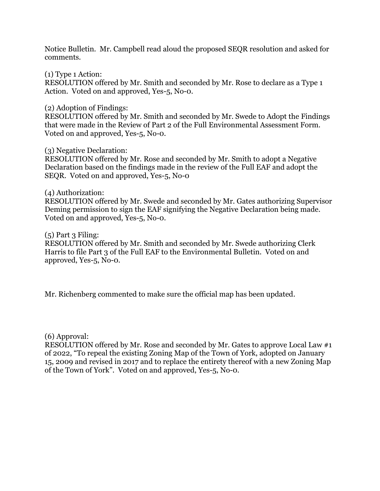Notice Bulletin. Mr. Campbell read aloud the proposed SEQR resolution and asked for comments.

(1) Type 1 Action:

RESOLUTION offered by Mr. Smith and seconded by Mr. Rose to declare as a Type 1 Action. Voted on and approved, Yes-5, No-0.

(2) Adoption of Findings:

RESOLUTION offered by Mr. Smith and seconded by Mr. Swede to Adopt the Findings that were made in the Review of Part 2 of the Full Environmental Assessment Form. Voted on and approved, Yes-5, No-0.

(3) Negative Declaration:

RESOLUTION offered by Mr. Rose and seconded by Mr. Smith to adopt a Negative Declaration based on the findings made in the review of the Full EAF and adopt the SEQR. Voted on and approved, Yes-5, No-0

## (4) Authorization:

RESOLUTION offered by Mr. Swede and seconded by Mr. Gates authorizing Supervisor Deming permission to sign the EAF signifying the Negative Declaration being made. Voted on and approved, Yes-5, No-0.

 $(5)$  Part 3 Filing:

RESOLUTION offered by Mr. Smith and seconded by Mr. Swede authorizing Clerk Harris to file Part 3 of the Full EAF to the Environmental Bulletin. Voted on and approved, Yes-5, No-0.

Mr. Richenberg commented to make sure the official map has been updated.

(6) Approval:

RESOLUTION offered by Mr. Rose and seconded by Mr. Gates to approve Local Law #1 of 2022, "To repeal the existing Zoning Map of the Town of York, adopted on January 15, 2009 and revised in 2017 and to replace the entirety thereof with a new Zoning Map of the Town of York". Voted on and approved, Yes-5, No-0.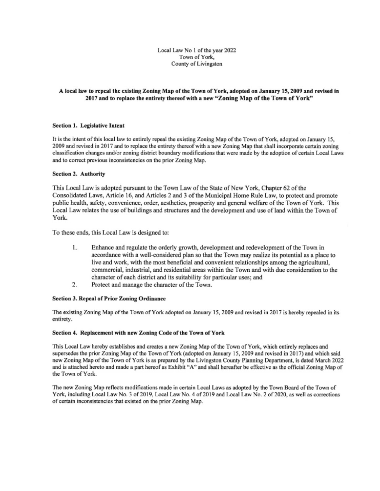Local Law No 1 of the year 2022 Town of York, County of Livingston

### A local law to repeal the existing Zoning Map of the Town of York, adopted on January 15, 2009 and revised in 2017 and to replace the entirety thereof with a new "Zoning Map of the Town of York"

### Section 1. Legislative Intent

It is the intent of this local law to entirely repeal the existing Zoning Map of the Town of York, adopted on January 15, 2009 and revised in 2017 and to replace the entirety thereof with a new Zoning Map that shall incorporate certain zoning classification changes and/or zoning district boundary modifications that were made by the adoption of certain Local Laws and to correct previous inconsistencies on the prior Zoning Map.

### Section 2. Authority

This Local Law is adopted pursuant to the Town Law of the State of New York, Chapter 62 of the Consolidated Laws, Article 16, and Articles 2 and 3 of the Municipal Home Rule Law, to protect and promote public health, safety, convenience, order, aesthetics, prosperity and general welfare of the Town of York. This Local Law relates the use of buildings and structures and the development and use of land within the Town of York.

To these ends, this Local Law is designed to:

- Enhance and regulate the orderly growth, development and redevelopment of the Town in  $1$ accordance with a well-considered plan so that the Town may realize its potential as a place to live and work, with the most beneficial and convenient relationships among the agricultural, commercial, industrial, and residential areas within the Town and with due consideration to the character of each district and its suitability for particular uses; and
- $2.$ Protect and manage the character of the Town.

### Section 3. Repeal of Prior Zoning Ordinance

The existing Zoning Map of the Town of York adopted on January 15, 2009 and revised in 2017 is hereby repealed in its entirety.

### Section 4. Replacement with new Zoning Code of the Town of York

This Local Law hereby establishes and creates a new Zoning Map of the Town of York, which entirely replaces and supersedes the prior Zoning Map of the Town of York (adopted on January 15, 2009 and revised in 2017) and which said new Zoning Map of the Town of York is as prepared by the Livingston County Planning Department, is dated March 2022 and is attached hereto and made a part hereof as Exhibit "A" and shall hereafter be effective as the official Zoning Map of the Town of York.

The new Zoning Map reflects modifications made in certain Local Laws as adopted by the Town Board of the Town of York, including Local Law No. 3 of 2019, Local Law No. 4 of 2019 and Local Law No. 2 of 2020, as well as corrections of certain inconsistencies that existed on the prior Zoning Map.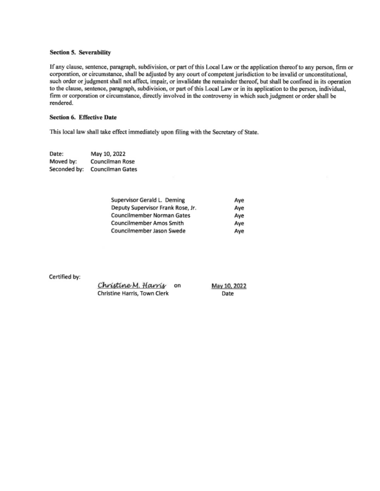### Section 5. Severability

If any clause, sentence, paragraph, subdivision, or part of this Local Law or the application thereof to any person, firm or corporation, or circumstance, shall be adjusted by any court of competent jurisdiction to be invalid or unconstitutional, such order or judgment shall not affect, impair, or invalidate the remainder thereof, but shall be confined in its operation to the clause, sentence, paragraph, subdivision, or part of this Local Law or in its application to the person, individual, firm or corporation or circumstance, directly involved in the controversy in which such judgment or order shall be rendered.

### Section 6. Effective Date

This local law shall take effect immediately upon filing with the Secretary of State.

Date: May 10, 2022 Moved by: Councilman Rose Seconded by: Councilman Gates

| Supervisor Gerald L. Deming       | Ave |  |
|-----------------------------------|-----|--|
| Deputy Supervisor Frank Rose, Jr. | Ave |  |
| Councilmember Norman Gates        | Ave |  |
| Councilmember Amos Smith          | Ave |  |
| Councilmember Jason Swede         | Ave |  |

May 10, 2022 Date

Certified by:

| Christine M. Harris          | on |  |
|------------------------------|----|--|
| Christine Harris, Town Clerk |    |  |